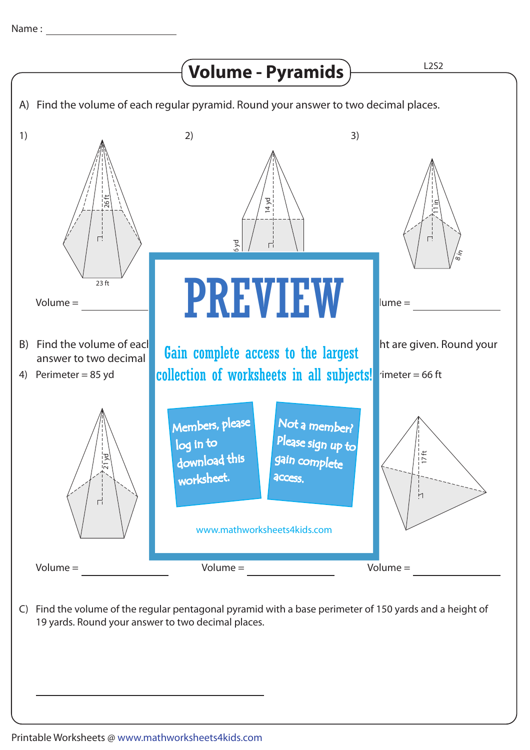